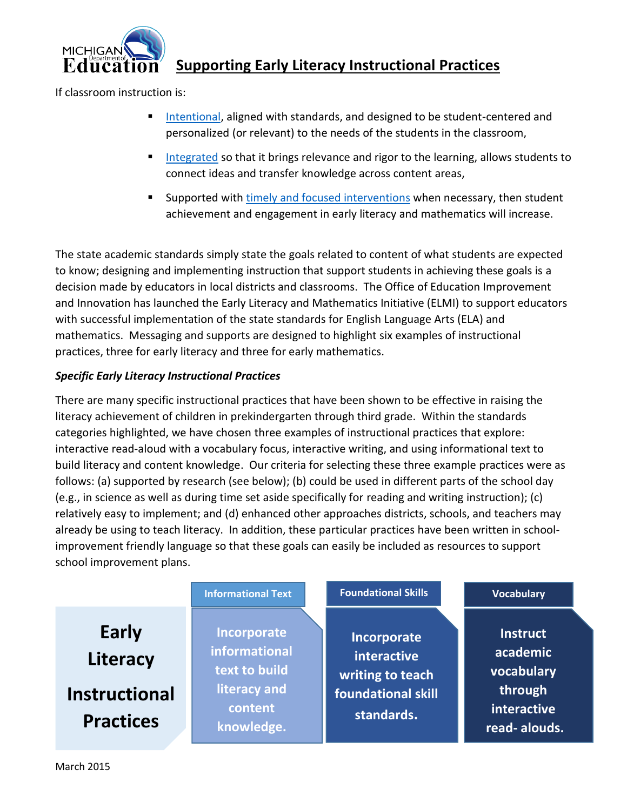

### **Supporting Early Literacy Instructional Practices**

If classroom instruction is:

- [Intentional,](http://www.michigan.gov/mde/0,4615,7-140-28753_65803-330843--,00.html) aligned with standards, and designed to be student-centered and personalized (or relevant) to the needs of the students in the classroom,
- [Integrated](http://www.michigan.gov/mde/0,4615,7-140-28753_65803-337984--,00.html) so that it brings relevance and rigor to the learning, allows students to connect ideas and transfer knowledge across content areas,
- Supported with [timely and focused interventions](http://www.michigan.gov/mde/0,4615,7-140-28753_65803-322534--,00.html) when necessary, then student achievement and engagement in early literacy and mathematics will increase.

The state academic standards simply state the goals related to content of what students are expected to know; designing and implementing instruction that support students in achieving these goals is a decision made by educators in local districts and classrooms. The Office of Education Improvement and Innovation has launched the Early Literacy and Mathematics Initiative (ELMI) to support educators with successful implementation of the state standards for English Language Arts (ELA) and mathematics. Messaging and supports are designed to highlight six examples of instructional practices, three for early literacy and three for early mathematics.

#### *Specific Early Literacy Instructional Practices*

There are many specific instructional practices that have been shown to be effective in raising the literacy achievement of children in prekindergarten through third grade. Within the standards categories highlighted, we have chosen three examples of instructional practices that explore: interactive read-aloud with a vocabulary focus, interactive writing, and using informational text to build literacy and content knowledge. Our criteria for selecting these three example practices were as follows: (a) supported by research (see below); (b) could be used in different parts of the school day (e.g., in science as well as during time set aside specifically for reading and writing instruction); (c) relatively easy to implement; and (d) enhanced other approaches districts, schools, and teachers may already be using to teach literacy. In addition, these particular practices have been written in schoolimprovement friendly language so that these goals can easily be included as resources to support school improvement plans.

|                                                               | <b>Informational Text</b>                                                              | <b>Foundational Skills</b>                                                         | <b>Vocabulary</b>                                                                   |
|---------------------------------------------------------------|----------------------------------------------------------------------------------------|------------------------------------------------------------------------------------|-------------------------------------------------------------------------------------|
| Early<br>Literacy<br><b>Instructional</b><br><b>Practices</b> | Incorporate<br>informational<br>text to build<br>literacy and<br>content<br>knowledge. | Incorporate<br>interactive<br>writing to teach<br>foundational skill<br>standards. | <b>Instruct</b><br>academic<br>vocabulary<br>through<br>interactive<br>read-alouds. |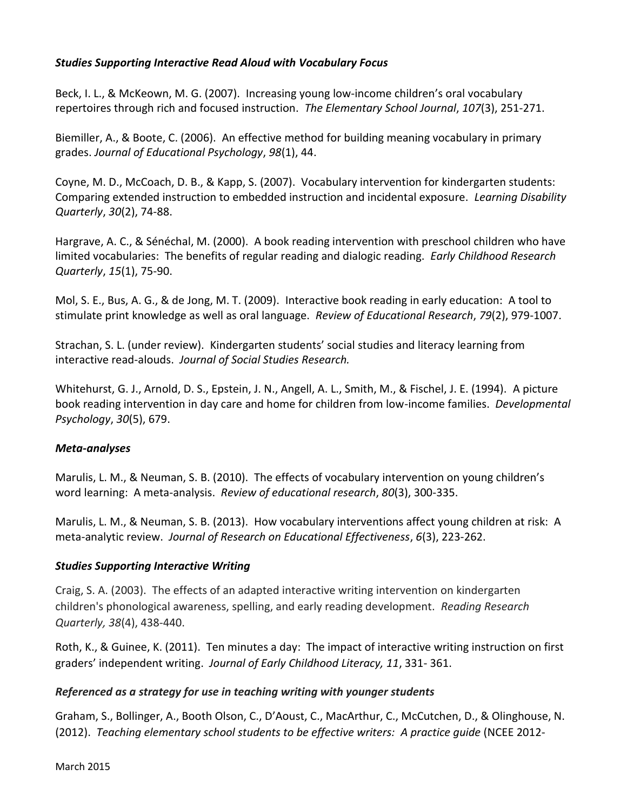#### *Studies Supporting Interactive Read Aloud with Vocabulary Focus*

Beck, I. L., & McKeown, M. G. (2007). Increasing young low‐income children's oral vocabulary repertoires through rich and focused instruction. *The Elementary School Journal*, *107*(3), 251-271.

Biemiller, A., & Boote, C. (2006). An effective method for building meaning vocabulary in primary grades. *Journal of Educational Psychology*, *98*(1), 44.

Coyne, M. D., McCoach, D. B., & Kapp, S. (2007). Vocabulary intervention for kindergarten students: Comparing extended instruction to embedded instruction and incidental exposure. *Learning Disability Quarterly*, *30*(2), 74-88.

Hargrave, A. C., & Sénéchal, M. (2000). A book reading intervention with preschool children who have limited vocabularies: The benefits of regular reading and dialogic reading. *Early Childhood Research Quarterly*, *15*(1), 75-90.

Mol, S. E., Bus, A. G., & de Jong, M. T. (2009). Interactive book reading in early education: A tool to stimulate print knowledge as well as oral language. *Review of Educational Research*, *79*(2), 979-1007.

Strachan, S. L. (under review). Kindergarten students' social studies and literacy learning from interactive read-alouds. *Journal of Social Studies Research.*

Whitehurst, G. J., Arnold, D. S., Epstein, J. N., Angell, A. L., Smith, M., & Fischel, J. E. (1994). A picture book reading intervention in day care and home for children from low-income families. *Developmental Psychology*, *30*(5), 679.

#### *Meta-analyses*

Marulis, L. M., & Neuman, S. B. (2010). The effects of vocabulary intervention on young children's word learning: A meta-analysis. *Review of educational research*, *80*(3), 300-335.

Marulis, L. M., & Neuman, S. B. (2013). How vocabulary interventions affect young children at risk: A meta-analytic review. *Journal of Research on Educational Effectiveness*, *6*(3), 223-262.

#### *Studies Supporting Interactive Writing*

Craig, S. A. (2003). The effects of an adapted interactive writing intervention on kindergarten children's phonological awareness, spelling, and early reading development. *Reading Research Quarterly, 38*(4), 438-440.

Roth, K., & Guinee, K. (2011). Ten minutes a day: The impact of interactive writing instruction on first graders' independent writing. *Journal of Early Childhood Literacy, 11*, 331- 361.

#### *Referenced as a strategy for use in teaching writing with younger students*

Graham, S., Bollinger, A., Booth Olson, C., D'Aoust, C., MacArthur, C., McCutchen, D., & Olinghouse, N. (2012). *Teaching elementary school students to be effective writers: A practice guide* (NCEE 2012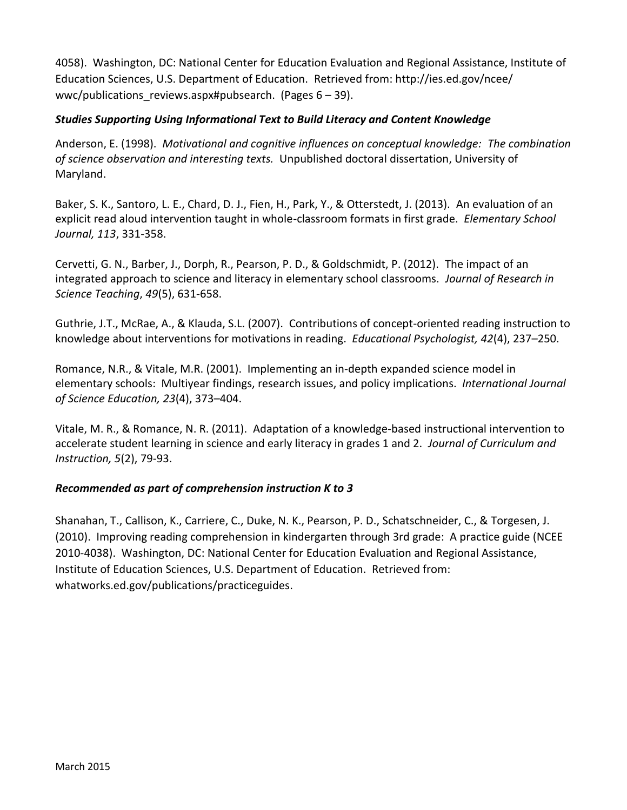4058). Washington, DC: National Center for Education Evaluation and Regional Assistance, Institute of Education Sciences, U.S. Department of Education. Retrieved from: http://ies.ed.gov/ncee/ wwc/publications reviews.aspx#pubsearch. (Pages  $6 - 39$ ).

#### *Studies Supporting Using Informational Text to Build Literacy and Content Knowledge*

Anderson, E. (1998). *Motivational and cognitive influences on conceptual knowledge: The combination of science observation and interesting texts.* Unpublished doctoral dissertation, University of Maryland.

Baker, S. K., Santoro, L. E., Chard, D. J., Fien, H., Park, Y., & Otterstedt, J. (2013). An evaluation of an explicit read aloud intervention taught in whole-classroom formats in first grade. *Elementary School Journal, 113*, 331-358.

Cervetti, G. N., Barber, J., Dorph, R., Pearson, P. D., & Goldschmidt, P. (2012). The impact of an integrated approach to science and literacy in elementary school classrooms. *Journal of Research in Science Teaching*, *49*(5), 631-658.

Guthrie, J.T., McRae, A., & Klauda, S.L. (2007). Contributions of concept-oriented reading instruction to knowledge about interventions for motivations in reading. *Educational Psychologist, 42*(4), 237–250.

Romance, N.R., & Vitale, M.R. (2001). Implementing an in-depth expanded science model in elementary schools: Multiyear findings, research issues, and policy implications. *International Journal of Science Education, 23*(4), 373–404.

Vitale, M. R., & Romance, N. R. (2011). Adaptation of a knowledge-based instructional intervention to accelerate student learning in science and early literacy in grades 1 and 2. *Journal of Curriculum and Instruction, 5*(2), 79-93.

#### *Recommended as part of comprehension instruction K to 3*

Shanahan, T., Callison, K., Carriere, C., Duke, N. K., Pearson, P. D., Schatschneider, C., & Torgesen, J. (2010). Improving reading comprehension in kindergarten through 3rd grade: A practice guide (NCEE 2010-4038). Washington, DC: National Center for Education Evaluation and Regional Assistance, Institute of Education Sciences, U.S. Department of Education. Retrieved from: whatworks.ed.gov/publications/practiceguides.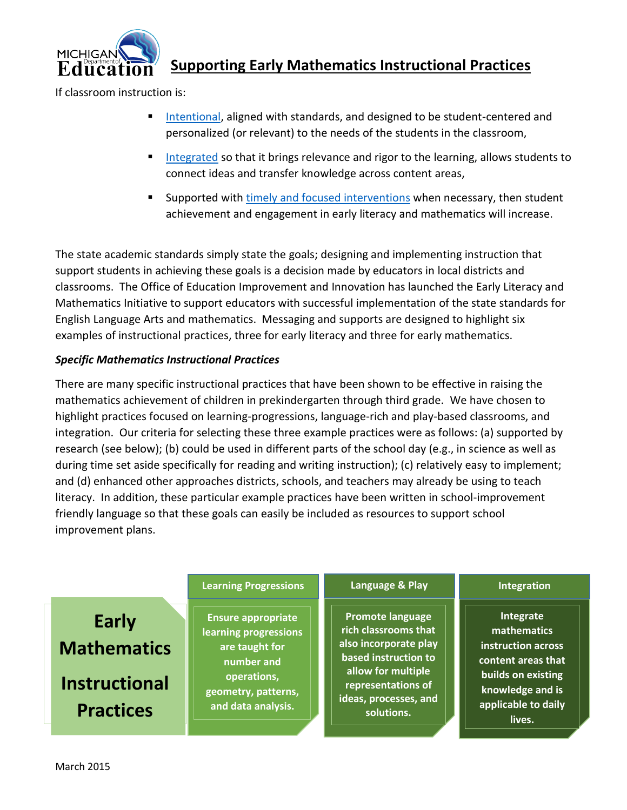

## **Supporting Early Mathematics Instructional Practices**

If classroom instruction is:

- [Intentional,](http://www.michigan.gov/mde/0,4615,7-140-28753_65803-330843--,00.html) aligned with standards, and designed to be student-centered and personalized (or relevant) to the needs of the students in the classroom,
- [Integrated](http://www.michigan.gov/mde/0,4615,7-140-28753_65803-337984--,00.html) so that it brings relevance and rigor to the learning, allows students to connect ideas and transfer knowledge across content areas,
- **Supported with [timely and focused interventions](http://www.michigan.gov/mde/0,4615,7-140-28753_65803-322534--,00.html) when necessary, then student** achievement and engagement in early literacy and mathematics will increase.

The state academic standards simply state the goals; designing and implementing instruction that support students in achieving these goals is a decision made by educators in local districts and classrooms. The Office of Education Improvement and Innovation has launched the Early Literacy and Mathematics Initiative to support educators with successful implementation of the state standards for English Language Arts and mathematics. Messaging and supports are designed to highlight six examples of instructional practices, three for early literacy and three for early mathematics.

#### *Specific Mathematics Instructional Practices*

There are many specific instructional practices that have been shown to be effective in raising the mathematics achievement of children in prekindergarten through third grade. We have chosen to highlight practices focused on learning-progressions, language-rich and play-based classrooms, and integration. Our criteria for selecting these three example practices were as follows: (a) supported by research (see below); (b) could be used in different parts of the school day (e.g., in science as well as during time set aside specifically for reading and writing instruction); (c) relatively easy to implement; and (d) enhanced other approaches districts, schools, and teachers may already be using to teach literacy. In addition, these particular example practices have been written in school-improvement friendly language so that these goals can easily be included as resources to support school improvement plans.

|                                                                                | <b>Learning Progressions</b>                                                                                                                          | Language & Play                                                                                                                                                                     | Integration                                                                                                                                     |
|--------------------------------------------------------------------------------|-------------------------------------------------------------------------------------------------------------------------------------------------------|-------------------------------------------------------------------------------------------------------------------------------------------------------------------------------------|-------------------------------------------------------------------------------------------------------------------------------------------------|
| <b>Early</b><br><b>Mathematics</b><br><b>Instructional</b><br><b>Practices</b> | <b>Ensure appropriate</b><br><b>learning progressions</b><br>are taught for<br>number and<br>operations,<br>geometry, patterns,<br>and data analysis. | <b>Promote language</b><br>rich classrooms that<br>also incorporate play<br>based instruction to<br>allow for multiple<br>representations of<br>ideas, processes, and<br>solutions. | Integrate<br>mathematics<br>instruction across<br>content areas that<br>builds on existing<br>knowledge and is<br>applicable to daily<br>lives. |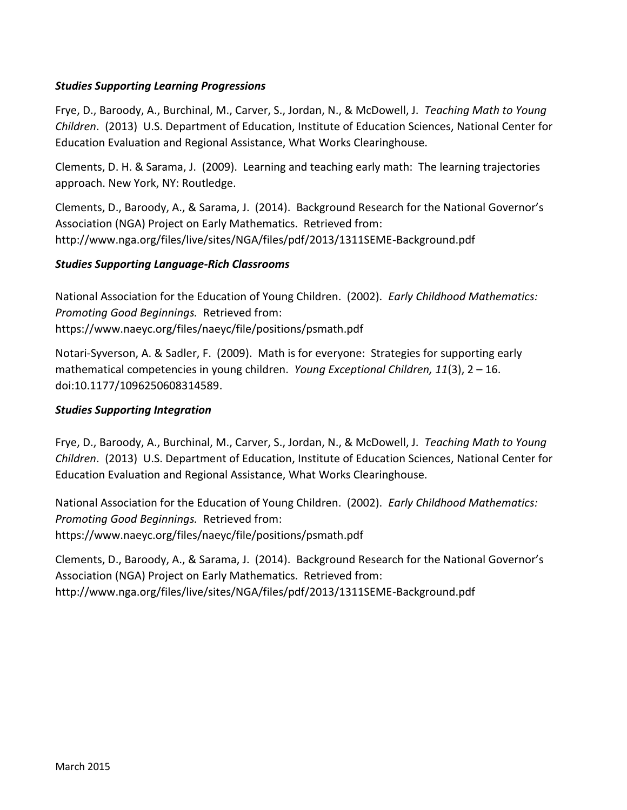#### *Studies Supporting Learning Progressions*

Frye, D., Baroody, A., Burchinal, M., Carver, S., Jordan, N., & McDowell, J. *Teaching Math to Young Children*. (2013) U.S. Department of Education, Institute of Education Sciences, National Center for Education Evaluation and Regional Assistance, What Works Clearinghouse.

Clements, D. H. & Sarama, J. (2009). Learning and teaching early math: The learning trajectories approach. New York, NY: Routledge.

Clements, D., Baroody, A., & Sarama, J. (2014). Background Research for the National Governor's Association (NGA) Project on Early Mathematics. Retrieved from: http://www.nga.org/files/live/sites/NGA/files/pdf/2013/1311SEME-Background.pdf

#### *Studies Supporting Language-Rich Classrooms*

National Association for the Education of Young Children. (2002). *Early Childhood Mathematics: Promoting Good Beginnings.* Retrieved from: https://www.naeyc.org/files/naeyc/file/positions/psmath.pdf

Notari-Syverson, A. & Sadler, F. (2009). Math is for everyone: Strategies for supporting early mathematical competencies in young children. *Young Exceptional Children, 11*(3), 2 – 16. doi:10.1177/1096250608314589.

#### *Studies Supporting Integration*

Frye, D., Baroody, A., Burchinal, M., Carver, S., Jordan, N., & McDowell, J. *Teaching Math to Young Children*. (2013) U.S. Department of Education, Institute of Education Sciences, National Center for Education Evaluation and Regional Assistance, What Works Clearinghouse.

National Association for the Education of Young Children. (2002). *Early Childhood Mathematics: Promoting Good Beginnings.* Retrieved from: https://www.naeyc.org/files/naeyc/file/positions/psmath.pdf

Clements, D., Baroody, A., & Sarama, J. (2014). Background Research for the National Governor's Association (NGA) Project on Early Mathematics. Retrieved from: http://www.nga.org/files/live/sites/NGA/files/pdf/2013/1311SEME-Background.pdf